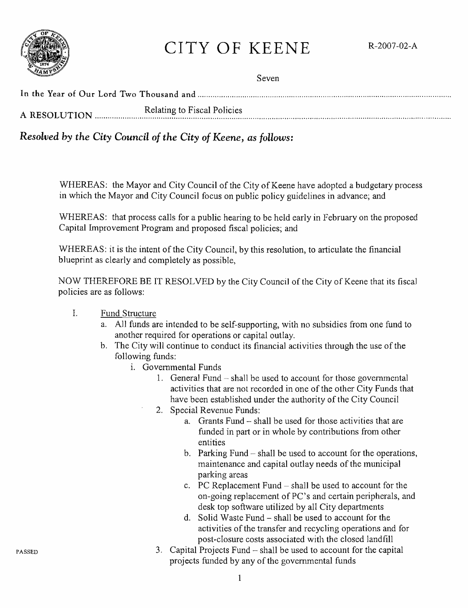

# CITY OF KEENE R-2007-02-A

| <b><i><u>PERSONAL PROPERTY AND IN A 450 PROPERTY AND RESIDENCE AND RESIDENCE AND RESIDENCE AND RESIDENCE AND RESIDENCE AND RESIDENCE AND RESIDENCE AND RESIDENCE AND RESIDENCE AND RESIDENCE AND RESIDENCE AND RESIDENCE AND RESIDEN</u></i></b> | Seven                       |
|--------------------------------------------------------------------------------------------------------------------------------------------------------------------------------------------------------------------------------------------------|-----------------------------|
|                                                                                                                                                                                                                                                  |                             |
| A RESOLUTION                                                                                                                                                                                                                                     | Relating to Fiscal Policies |

*Resolved by the City Council of the City of Keene,* as *follows:* 

WHEREAS: the Mayor and City Council of the City of Keene have adopted a budgetary process in which the Mayor and City Council focus on public policy guidelines in advance; and

WHEREAS: that process calls for a public hearing to be held early in February on the proposed Capital Improvement Program and proposed fiscal policies; and

WHEREAS: it is the intent of the City Council, by this resolution, to articulate the financial blueprint as clearly and completely as possible,

NOW THEREFORE BE IT RESOLVED by the City Council of the City of Keene that its fiscaJ policies are as follows:

- 1. Fund Structure
	- a. All funds are intended to be self-supporting, with no subsidies from one fund to another required for operations or capital outlay.
	- b. The City will continue to conduct its financial activities through the use of the following funds:
		- 1. Governmental Funds
			- 1. General Fund  $-$  shall be used to account for those governmental activities that are not recorded in one of the other City Funds that have been established under the authority of the City Council
			- 2. Special Revenue Funds:
				- a. Grants Fund shall be used for those activities that are funded in part or in whole by contributions from other entities
				- b. Parking Fund shall be used to account for the operations, maintenance and capital outlay needs of the municipal parking areas
				- c. PC Replacement Fund shal1 be used to account for the on-going replacement of PC~s and certain peripherals, and desk top software utilized by all City departments
				- d. Solid Waste Fund shall be used to account for the activities of the transfer and recycling operations and for post-closure costs associated with the closed landfill
			- 3. Capital Projects Fund shall be used to account for the capital projects funded by any of the governmental funds

PASSED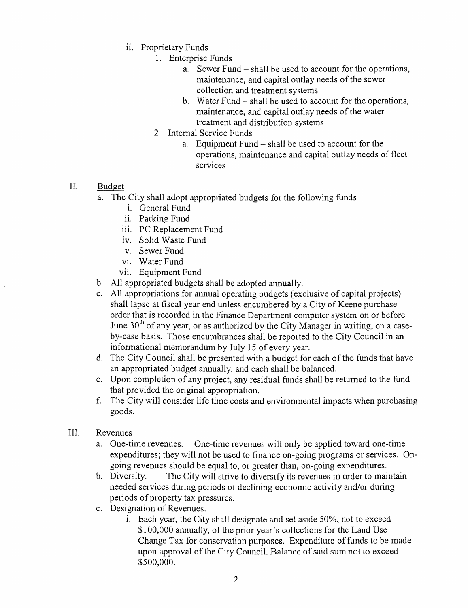- ii. Proprietary Funds
	- 1. Enterprise Funds
		- a. Sewer Fund shall be used to account for the operations, maintenance, and capital outlay needs of the sewer collection and treatment systems
		- b. Water Fund  $-$  shall be used to account for the operations, maintenance, and capital outlay needs of the water treatment and distribution systems
	- 2. Internal Service Funds
		- a. Equipment Fund  $-$  shall be used to account for the operations, maintenance and capital outlay needs of fleet serVIces
- II. Budget
	- a. The City shall adopt appropriated budgets for the following funds
		- i. General Fund
		- ii. Parking Fund
		- iii. PC Replacement Fund
		- iv. Solid Waste Fund
		- v. Sewer Fund
		- VI. Water Fund
		- vii. Equipment Fund
	- b. All appropriated budgets shall be adopted annually.
	- c. All appropriations for annual operating budgets (exclusive of capital projects) shall lapse at fiscal year end unless encumbered by a City of Keene purchase order that is recorded in the Finance Department computer system on or before June  $30<sup>th</sup>$  of any year, or as authorized by the City Manager in writing, on a caseby-case basis. Those encumbrances shall be reported to the City Council in an informational memorandum by July 15 of every year.
	- d. The City Council shall be presented with a budget for each of the funds that have an appropriated budget annually, and each shall be balanced.
	- e. Upon completion of any project, any residual funds shall be returned to the fund that provided the original appropriation.
	- f. The City will consider life time costs and environmental impacts when purchasing goods.
- III. Revenues
	- a. One-time revenues. One-time revenues will only be applied toward one-time expenditures; they will not be used to finance on-going programs or services. Ongoing revenues should be equal to, or greater than, on-going expenditures.
	- h. Diversity. The City will strive to diversify its revenues in order to maintain needed services during periods of declining economic activity and/or during periods of property tax pressures.
	- c. Designation of Revenues.
		- $i.$  Each year, the City shall designate and set aside 50%, not to exceed \$100,000 annually, of the prior year's collections for the Land Use Change Tax for conservation purposes. Expenditure of funds to be made upon approval of the City Council. Balance of said sum not to exceed \$500,000.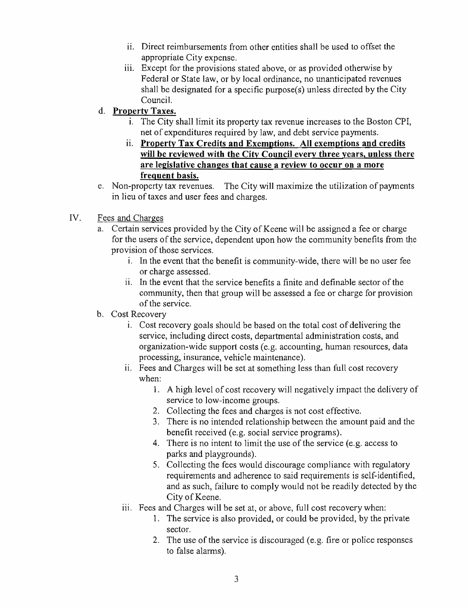- ii. Direct reimbursements from other entities shall be used to offset the appropriate City expense.
- iii. Except for the provisions stated above, or as provided otherwise by Federal or State law, or by local ordinance, no unanticipated revenues shall be designated for a specific purpose $(s)$  unless directed by the City Council.

## d. Property Taxes.

- i. The City shall limit its property tax revenue increases to the Boston CPI, net of expenditures required by law, and debt service payments.
- ii. Property Tax Credits and Exemptions. All exemptions and credits will be reviewed with the City Council every three years, unless there are legislative changes that cause a review to occur on a more frequent basis.
- e. Non-property tax revenues. The City will maximize the utilization of payments in lieu of taxes and user fees and charges.

### IV. Fees and Charges

- a. Certain services provided by the City of Keene will be assigned a fee or charge for the users of the service, dependent upon how the community benefits from the provision of those services.
	- 1. In the event that the benefit is community-wide, there will be no user fee or charge assessed.
	- ii. In the event that the service benefits a finite and definable sector of the community, then that group will be assessed a fee or charge for provision of the service.

### b. Cost Recovery

- 1. Cost recovery goals should be based on the total cost of delivering the service, including direct costs, departmental administration costs, and organization-wide support costs (e.g. accounting, human resources, data processing, insurance, vehicle maintenance).
- ii. Fees and Charges will be set at something less than full cost recovery when:
	- 1. A high level of cost recovery will negatively impact the delivery of service to low-income groups.
	- 2. Collecting the fees and charges is not cost effective.
	- 3. There is no intended relationship between the amount paid and the benefit received (e.g. social service programs).
	- 4. There is no intent to limit the use of the service (e.g. access to parks and playgrounds).
	- 5. Collecting the fees would discourage compliance with regulatory requirements and adherence to said requirements is self-identified, and as such, failure to comply would not be readily detected by the City of Keene.
- iii. Fees and Charges will be set at, or above, full cost recovery when:
	- 1. The service is also provided, or could be provided, by the private sector.
	- 2. The use of the service is discouraged (e.g. fire or police responses to false alarms).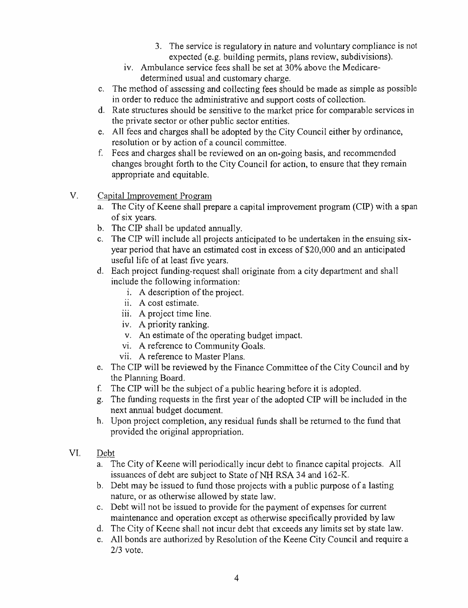- 3. The service is regulatory in nature and voluntary compliance is not expected (e.g. building permits, plans review, subdivisions).
- iv. Ambulance service fees shall be set at 30% above the Medicaredetermined usual and customary charge.
- c. The method of assessing and collecting fees should be made as simple as possible in order to reduce the administrative and support costs of collection.
- d. Rate structures should be sensitive to the market price for comparable services in the private sector or other public sector entities.
- e. All fees and charges shall be adopted by the City Council either by ordinance, resolution or by action of a council committee.
- f. Fees and charges shall be reviewed on an on-going basis, and recommended changes brought forth to the City Council for action, to ensure that they remain appropriate and equitable.
- V. Capital Improvement Program
	- a. The City of Keene shall prepare a capital improvement program (CIP) with a span of six years.
	- b. The CIP shall be updated annually.
	- c. The CIP will include all projects anticipated to be undertaken in the ensuing sixyear period that have an estimated cost in excess of \$20,000 and an anticipated useful life of at least five years.
	- d. Each project funding-request shall originate from a city department and shall include the following information:
		- i. A description of the project.
		- ii. A cost estimate.
		- iii. A project time line.
		- iv. A priority ranking.
		- v. An estimate of the operating budget impact.
		- VI. A reference to Community Goals.
		- vii. A reference to Master Plans.
	- e. The CIP will be reviewed by the Finance Committee of the City Council and by the Planning Board.
	- f. The CIP will be the subject of a public hearing before it is adopted.
	- g. The funding requests in the first year of the adopted CIP will be included in the next annual budget document.
	- h. Upon project completion, any residual funds shall be returned to the fund that provided the original appropriation.
- VI. Debt
	- a. The City of Keene will periodically incur debt to finance capital projects. All issuances of debt are subject to State of NH RSA 34 and 162-K.
	- b. Debt may be issued to fund those projects with a public purpose of a lasting nature, or as otherwise allowed by state law.
	- c. Debt will not be issued to provide for the payment of expenses for current maintenance and operation except as otherwise specifically provided by law
	- d. The City of Keene shall not incur debt that exceeds any limits set by state law.
	- e. All bonds are authorized by Resolution of the Keene City Council and require a 2/3 vote.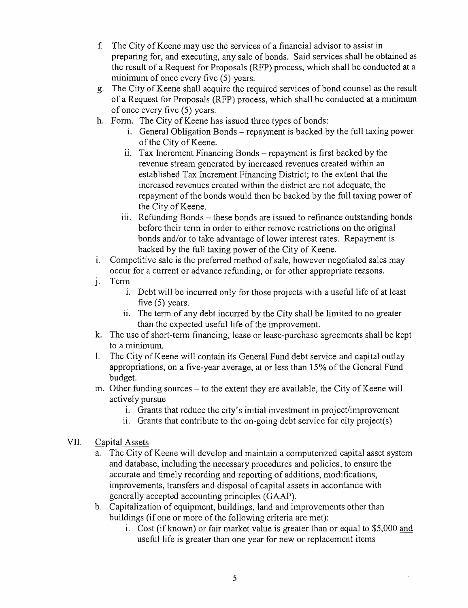- f. The City of Keene may use the services of a financial advisor to assist in preparing for, and executing, any sale of bonds. Said services shall be obtained as the result of a Request for Proposals (RFP) process, which shall be conducted at a minimum of once every five (5) years.
- g. The City of Keene shall acquire the required services of bond counsel as the result of a Request for Proposals (RFP) process, which shall be conducted at a minimum of once every five (5) years.
- h. Form. The City of Keene has issued three types of bonds:
	- i. General Obligation Bonds repayment is backed by the full taxing power of the City of Keene.
	- ii. Tax Increment Financing Bonds repayment is first backed by the revenue stream generated by increased revenues created within an established Tax Increment Financing District; to the extent that the increased revenues created within the district are not adequate, the repayment of the bonds would then be backed by the full taxing power of the City of Keene.
	- iii. Refunding Bonds these bonds are issued to refinance outstanding bonds before their term in order to either remove restrictions on the original bonds and/or to take advantage of lower interest rates. Repayment is backed by the full taxing power of the City of Keene.
- 1. Competitive sale is the preferred method of sale, however negotiated sales may occur for a current or advance refunding, or for other appropriate reasons.
- J. Term
	- 1. Debt will be incurred only for those projects with a useful life of at least five (5) years.
	- ii. The term of any debt incurred by the City shall be limited to no greater than the expected useful life of the improvement.
- k. The use of short-term financing, lease or lease-purchase agreements shall be kept to a minimum.
- 1. The City of Keene will contain its General Fund debt service and capital outlay appropriations, on a five-year average, at or less than 15% of the General Fund budget.
- m. Other funding sources  $-$  to the extent they are available, the City of Keene will actively pursue
	- i. Grants that reduce the city's initial investment in project/improvement
	- ii. Grants that contribute to the on-going debt service for city project(s)

#### VII. Capital Assets

- a. The City of Keene will develop and maintain a computerized capital asset system and database, including the necessary procedures and policies, to ensure the accurate and timely recording and reporting of additions, modifications, improvements, transfers and disposal of capital assets in accordance with generally accepted accounting principles (GAAP).
- b. Capitalization of equipment, buildings, land and improvements other than buildings (if one or more of the following criteria are met):
	- 1. Cost (if known) or fair market value is greater than or equal to  $$5,000$  and useful life is greater than one year for new or replacement items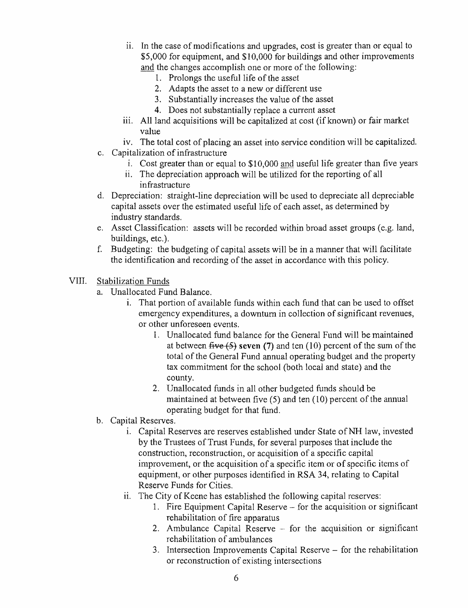- i. In the case of modifications and upgrades, cost is greater than or equal to \$5,000 for equipment, and \$10,000 for buildings and other improvements and the changes accomplish one or more of the following:
	- 1. Prolongs the useful life of the asset
	- 2. Adapts the asset to a new or different use
	- 3. Substantially increases the value of the asset
	- 4. Does not substantially replace a current asset
- iii. All land acquisitions will be capitalized at cost (if known) or fair market value
- iv. The total cost of placing an asset into service condition will be capitalized.
- c. Capitalization of infrastructure
	- i. Cost greater than or equal to \$10,000 and useful life greater than five years
	- ii. The depreciation approach will be utilized for the reporting of all infrastructure
- d. Depreciation: straight-line depreciation will be used to depreciate all depreciable capital assets over the estimated useful life of each asset, as determined by industry standards.
- e. Asset Classification: assets will be recorded within broad asset groups (e.g. land, buildings, etc.).
- f. Budgeting: the budgeting of capital assets will be in a manner that will facilitate the identification and recording of the asset in accordance with this policy.
- VIII. Stabilization Funds
	- a. Unallocated Fund Balance.
		- 1. That portion of available funds within each fund that can be used to offset emergency expenditures, a downturn in collection of significant revenues, or other unforeseen events.
			- 1. Unallocated fund balance for the General Fund will be maintained at between  $\overline{f_1}$ **seven** (7) and ten (10) percent of the sum of the total of the General Fund annual operating budget and the property tax commitment for the school (both local and state) and the county.
			- 2. Unallocated funds in all other budgeted funds should be maintained at between five (5) and ten (10) percent of the annual operating budget for that fund.
	- b. Capital Reserves.
		- 1. Capital Reserves are reserves established under State of NH law, invested by the Trustees of Trust Funds, for several purposes that include the construction, reconstruction, or acquisition of a specific capital improvement, or the acquisition of a specific item or of specific items of equipment, or other purposes identified in RSA 34, relating to Capital Reserve Funds for Cities.
		- i. The City of Keene has established the following capital reserves:
			- 1. Fire Equipment Capital Reserve for the acquisition or significant rehabilitation of fire apparatus
			- 2. Ambulance Capital Reserve  $-$  for the acquisition or significant rehabilitation of ambulances
			- 3. Intersection Improvements Capital Reserve for the rehabilitation or reconstruction of existing intersections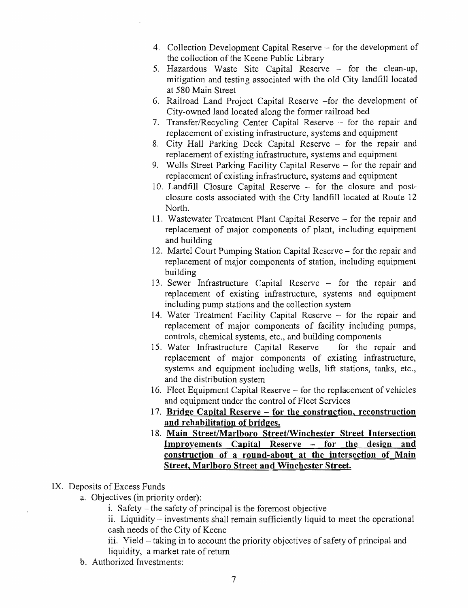- 4. Collection Development Capital Reserve for the development of the collection of the Keene Public Library
- 5. Hazardous Waste Site Capital Reserve for the clean-up, mitigation and testing associated with the old City landfill located at 580 Main Street
- 6. Railroad Land Project Capital Reserve -for the development of City-owned land located along the former railroad bed
- 7. Transfer/Recycling Center Capital Reserve  $-$  for the repair and replacement of existing infrastructure, systems and equipment
- 8. City Hall Parking Deck Capital Reserve  $-$  for the repair and replacement of existing infrastructure, systems and equipment
- 9. Wells Street Parking Facility Capital Reserve for the repair and replacement of existing infrastructure, systems and equipment
- 10. Landfill Closure Capital Reserve for the closure and postclosure costs associated with the City landfill located at Route 12 North.
- 11. Wastewater Treatment Plant Capital Reserve for the repair and replacement of major components of plant, including equipment and building
- 12. Martel Court Pumping Station Capital Reserve for the repair and replacement of major components of station, including equipment building
- 13. Sewer Infrastructure Capital Reserve  $-$  for the repair and replacement of existing infrastructure, systems and equipment including pump stations and the collection system
- 14. Water Treatment Facility Capital Reserve for the repair and replacement of major components of facility including pumps, controls, chemical systems, etc., and building components
- 15. Water Infrastructure Capital Reserve for the repair and replacement of major components of existing infrastructure, systems and equipment including wells, lift stations, tanks, etc., and the distribution system
- 16. Fleet Equipment Capital Reserve for the replacement of vehicles and equipment under the control of Fleet Services
- 17. **Bridge Capital Reserve - for the construction, reconstruction and rehabilitation of bridges.**
- 18. **Main Street/Marlboro Street/Winchester Street Intersection Improvements Capital Reserve - for the design and construction of a round-about at the intersection of Main Street, Marlboro Street and Winchester Street.**

#### IX. Deposits of Excess Funds

- a. Objectives (in priority order):
	- $i.$  Safety the safety of principal is the foremost objective

ii. Liquidity  $-$  investments shall remain sufficiently liquid to meet the operational cash needs of the City of Keene

- iii. Yield  $-$  taking in to account the priority objectives of safety of principal and liquidity, a market rate of return
- b. Authorized Investments: